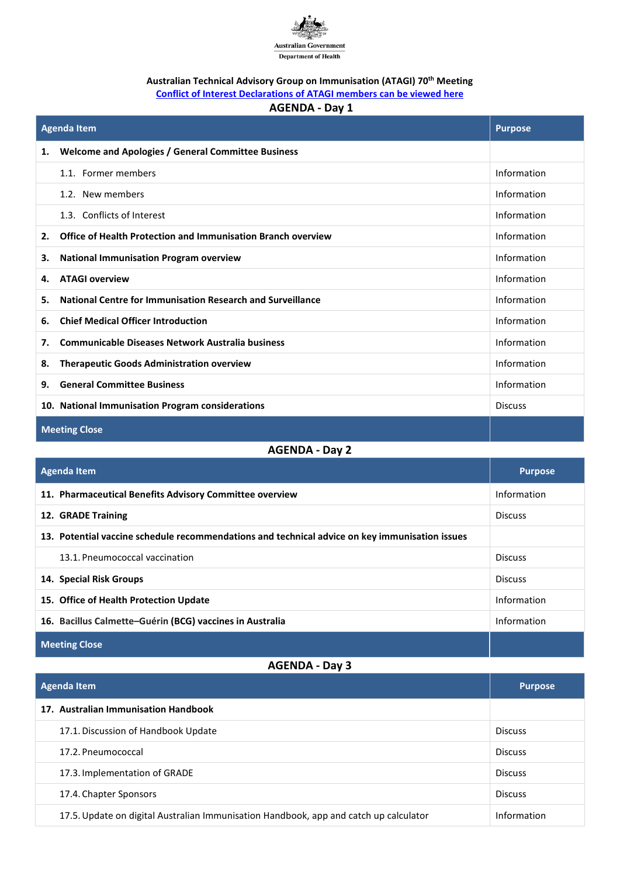

## **Australian Technical Advisory Group on Immunisation (ATAGI) 70th Meeting**

**[Conflict of Interest Declarations of ATAGI members can be viewed here](https://beta.health.gov.au/resources/publications/atagi-conflict-of-interest-disclosures)**

## **AGENDA - Day 1**

| <b>Agenda Item</b>                               |                                                              | <b>Purpose</b> |
|--------------------------------------------------|--------------------------------------------------------------|----------------|
| 1.                                               | <b>Welcome and Apologies / General Committee Business</b>    |                |
|                                                  | 1.1. Former members                                          | Information    |
|                                                  | 1.2. New members                                             | Information    |
|                                                  | 1.3. Conflicts of Interest                                   | Information    |
| 2.                                               | Office of Health Protection and Immunisation Branch overview | Information    |
| З.                                               | <b>National Immunisation Program overview</b>                | Information    |
| 4.                                               | <b>ATAGI overview</b>                                        | Information    |
| 5.                                               | National Centre for Immunisation Research and Surveillance   | Information    |
| 6.                                               | <b>Chief Medical Officer Introduction</b>                    | Information    |
| 7.                                               | <b>Communicable Diseases Network Australia business</b>      | Information    |
| 8.                                               | <b>Therapeutic Goods Administration overview</b>             | Information    |
| 9.                                               | <b>General Committee Business</b>                            | Information    |
| 10. National Immunisation Program considerations |                                                              | <b>Discuss</b> |
| <b>Meeting Close</b>                             |                                                              |                |

## **AGENDA - Day 2**

| Agenda Item                                                                                    | <b>Purpose</b> |
|------------------------------------------------------------------------------------------------|----------------|
| 11. Pharmaceutical Benefits Advisory Committee overview                                        | Information    |
| 12. GRADE Training                                                                             | <b>Discuss</b> |
| 13. Potential vaccine schedule recommendations and technical advice on key immunisation issues |                |
| 13.1. Pneumococcal vaccination                                                                 | <b>Discuss</b> |
| 14. Special Risk Groups                                                                        | <b>Discuss</b> |
| 15. Office of Health Protection Update                                                         | Information    |
| 16. Bacillus Calmette-Guérin (BCG) vaccines in Australia                                       | Information    |
| <b>Meeting Close</b>                                                                           |                |

## **AGENDA - Day 3**

| Agenda Item                                                                           | <b>Purpose</b> |
|---------------------------------------------------------------------------------------|----------------|
| 17. Australian Immunisation Handbook                                                  |                |
| 17.1. Discussion of Handbook Update                                                   | <b>Discuss</b> |
| 17.2. Pneumococcal                                                                    | <b>Discuss</b> |
| 17.3. Implementation of GRADE                                                         | <b>Discuss</b> |
| 17.4. Chapter Sponsors                                                                | <b>Discuss</b> |
| 17.5. Update on digital Australian Immunisation Handbook, app and catch up calculator | Information    |